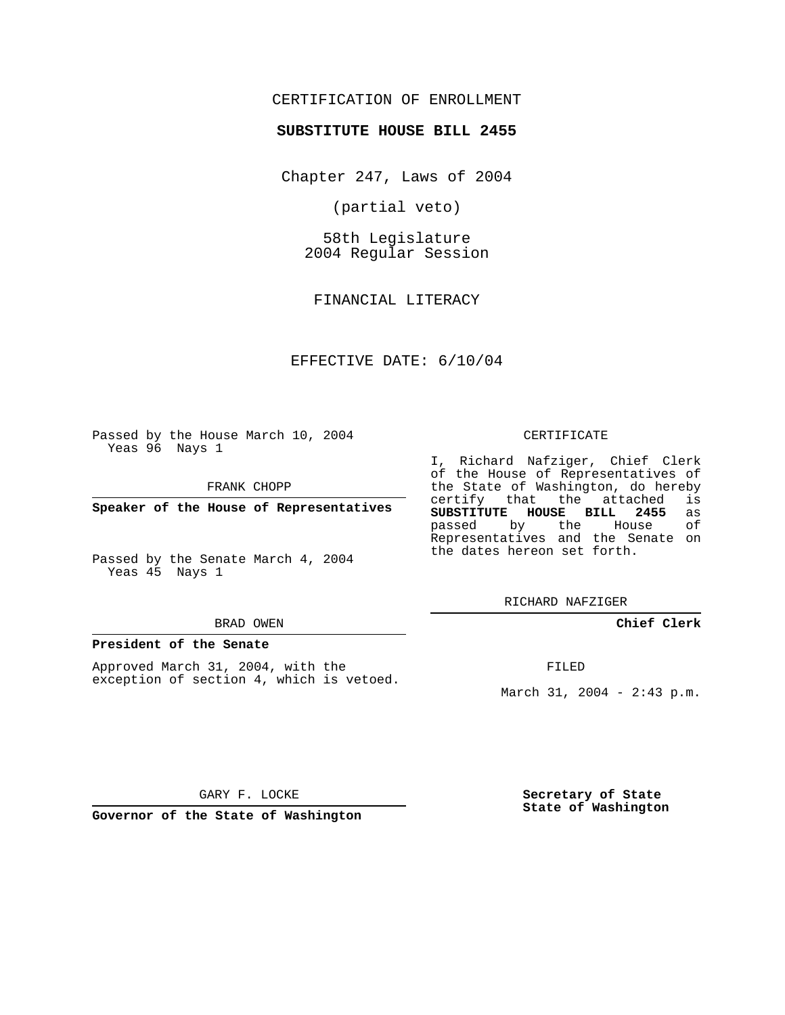# CERTIFICATION OF ENROLLMENT

## **SUBSTITUTE HOUSE BILL 2455**

Chapter 247, Laws of 2004

(partial veto)

58th Legislature 2004 Regular Session

FINANCIAL LITERACY

EFFECTIVE DATE: 6/10/04

Passed by the House March 10, 2004 Yeas 96 Nays 1

FRANK CHOPP

**Speaker of the House of Representatives**

Passed by the Senate March 4, 2004 Yeas 45 Nays 1

#### BRAD OWEN

### **President of the Senate**

Approved March 31, 2004, with the exception of section 4, which is vetoed.

#### CERTIFICATE

I, Richard Nafziger, Chief Clerk of the House of Representatives of the State of Washington, do hereby<br>certify that the attached is certify that the attached **SUBSTITUTE HOUSE BILL 2455** as passed by the House Representatives and the Senate on the dates hereon set forth.

RICHARD NAFZIGER

**Chief Clerk**

FILED

March 31, 2004 - 2:43 p.m.

GARY F. LOCKE

**Governor of the State of Washington**

**Secretary of State State of Washington**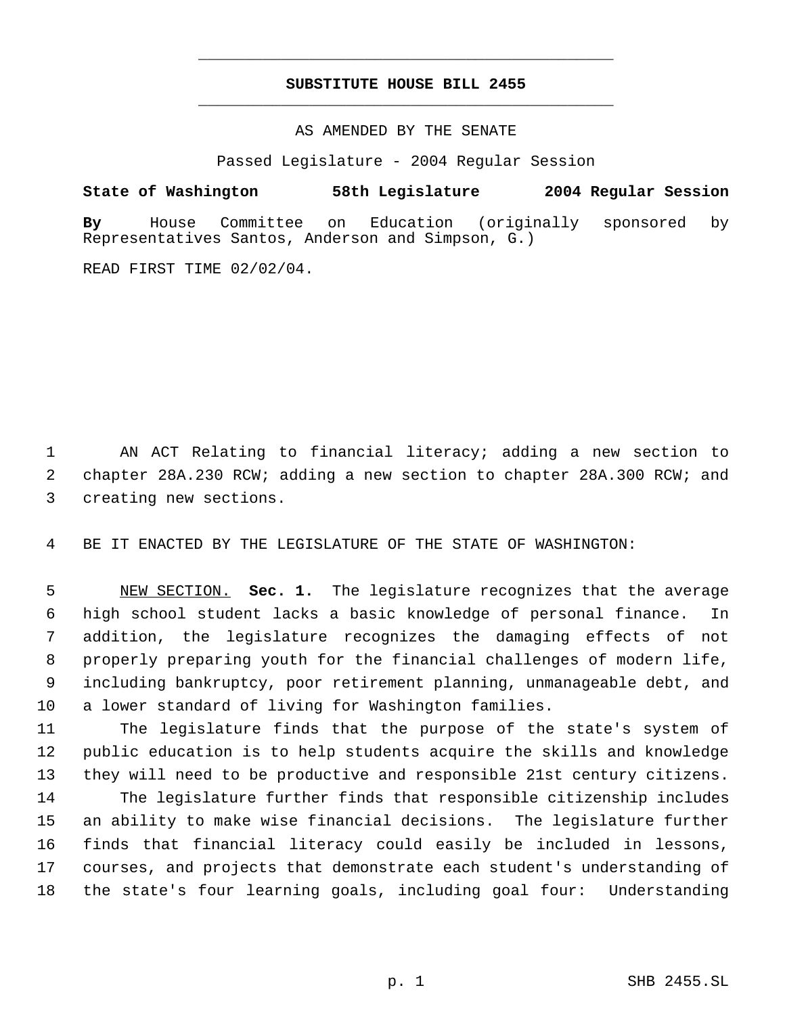# **SUBSTITUTE HOUSE BILL 2455** \_\_\_\_\_\_\_\_\_\_\_\_\_\_\_\_\_\_\_\_\_\_\_\_\_\_\_\_\_\_\_\_\_\_\_\_\_\_\_\_\_\_\_\_\_

\_\_\_\_\_\_\_\_\_\_\_\_\_\_\_\_\_\_\_\_\_\_\_\_\_\_\_\_\_\_\_\_\_\_\_\_\_\_\_\_\_\_\_\_\_

### AS AMENDED BY THE SENATE

Passed Legislature - 2004 Regular Session

# **State of Washington 58th Legislature 2004 Regular Session**

**By** House Committee on Education (originally sponsored by Representatives Santos, Anderson and Simpson, G.)

READ FIRST TIME 02/02/04.

 AN ACT Relating to financial literacy; adding a new section to chapter 28A.230 RCW; adding a new section to chapter 28A.300 RCW; and creating new sections.

BE IT ENACTED BY THE LEGISLATURE OF THE STATE OF WASHINGTON:

 NEW SECTION. **Sec. 1.** The legislature recognizes that the average high school student lacks a basic knowledge of personal finance. In addition, the legislature recognizes the damaging effects of not properly preparing youth for the financial challenges of modern life, including bankruptcy, poor retirement planning, unmanageable debt, and a lower standard of living for Washington families.

 The legislature finds that the purpose of the state's system of public education is to help students acquire the skills and knowledge they will need to be productive and responsible 21st century citizens. The legislature further finds that responsible citizenship includes an ability to make wise financial decisions. The legislature further finds that financial literacy could easily be included in lessons, courses, and projects that demonstrate each student's understanding of the state's four learning goals, including goal four: Understanding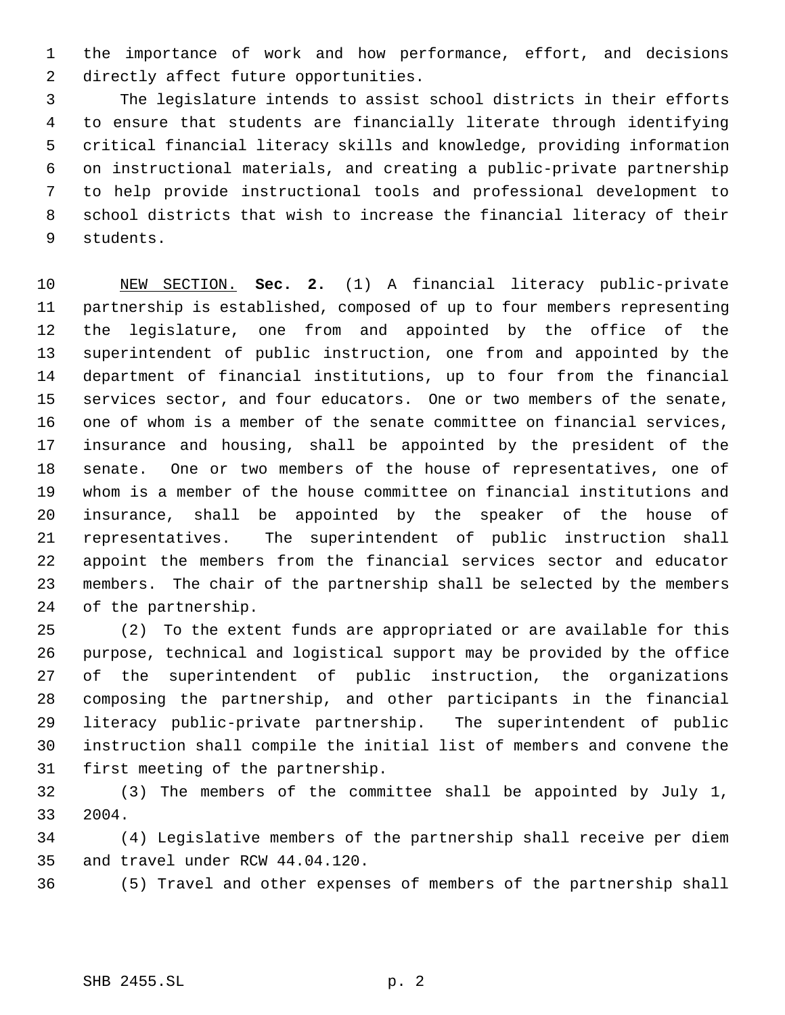the importance of work and how performance, effort, and decisions directly affect future opportunities.

 The legislature intends to assist school districts in their efforts to ensure that students are financially literate through identifying critical financial literacy skills and knowledge, providing information on instructional materials, and creating a public-private partnership to help provide instructional tools and professional development to school districts that wish to increase the financial literacy of their students.

 NEW SECTION. **Sec. 2.** (1) A financial literacy public-private partnership is established, composed of up to four members representing the legislature, one from and appointed by the office of the superintendent of public instruction, one from and appointed by the department of financial institutions, up to four from the financial services sector, and four educators. One or two members of the senate, one of whom is a member of the senate committee on financial services, insurance and housing, shall be appointed by the president of the senate. One or two members of the house of representatives, one of whom is a member of the house committee on financial institutions and insurance, shall be appointed by the speaker of the house of representatives. The superintendent of public instruction shall appoint the members from the financial services sector and educator members. The chair of the partnership shall be selected by the members of the partnership.

 (2) To the extent funds are appropriated or are available for this purpose, technical and logistical support may be provided by the office of the superintendent of public instruction, the organizations composing the partnership, and other participants in the financial literacy public-private partnership. The superintendent of public instruction shall compile the initial list of members and convene the first meeting of the partnership.

 (3) The members of the committee shall be appointed by July 1, 2004.

 (4) Legislative members of the partnership shall receive per diem and travel under RCW 44.04.120.

(5) Travel and other expenses of members of the partnership shall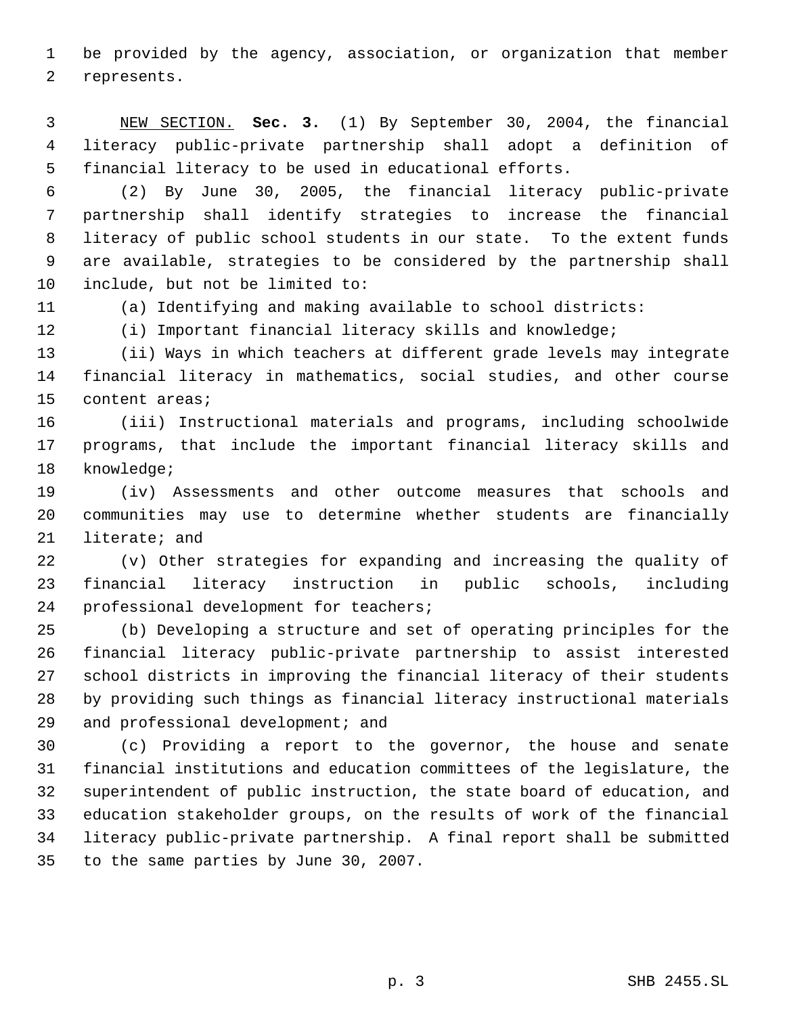be provided by the agency, association, or organization that member represents.

 NEW SECTION. **Sec. 3.** (1) By September 30, 2004, the financial literacy public-private partnership shall adopt a definition of financial literacy to be used in educational efforts.

 (2) By June 30, 2005, the financial literacy public-private partnership shall identify strategies to increase the financial literacy of public school students in our state. To the extent funds are available, strategies to be considered by the partnership shall include, but not be limited to:

(a) Identifying and making available to school districts:

(i) Important financial literacy skills and knowledge;

 (ii) Ways in which teachers at different grade levels may integrate financial literacy in mathematics, social studies, and other course content areas;

 (iii) Instructional materials and programs, including schoolwide programs, that include the important financial literacy skills and knowledge;

 (iv) Assessments and other outcome measures that schools and communities may use to determine whether students are financially literate; and

 (v) Other strategies for expanding and increasing the quality of financial literacy instruction in public schools, including professional development for teachers;

 (b) Developing a structure and set of operating principles for the financial literacy public-private partnership to assist interested school districts in improving the financial literacy of their students by providing such things as financial literacy instructional materials 29 and professional development; and

 (c) Providing a report to the governor, the house and senate financial institutions and education committees of the legislature, the superintendent of public instruction, the state board of education, and education stakeholder groups, on the results of work of the financial literacy public-private partnership. A final report shall be submitted to the same parties by June 30, 2007.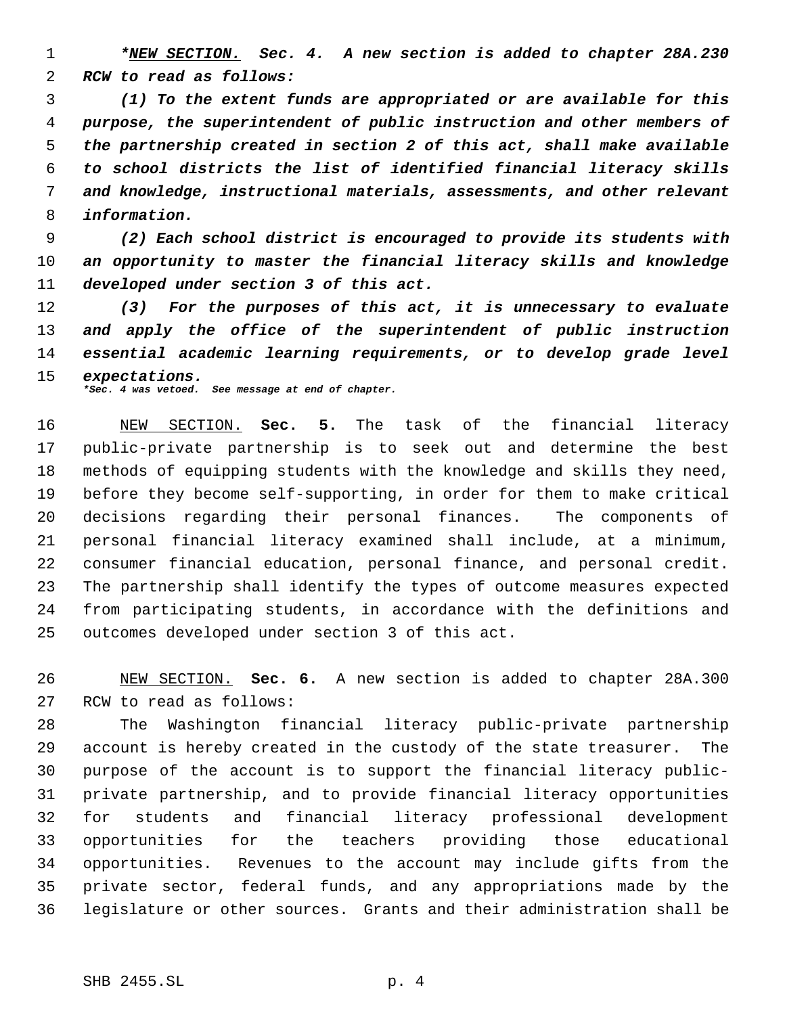*\*NEW SECTION. Sec. 4. A new section is added to chapter 28A.230 RCW to read as follows:*

 *(1) To the extent funds are appropriated or are available for this purpose, the superintendent of public instruction and other members of the partnership created in section 2 of this act, shall make available to school districts the list of identified financial literacy skills and knowledge, instructional materials, assessments, and other relevant information.*

 *(2) Each school district is encouraged to provide its students with an opportunity to master the financial literacy skills and knowledge developed under section 3 of this act.*

 *(3) For the purposes of this act, it is unnecessary to evaluate and apply the office of the superintendent of public instruction essential academic learning requirements, or to develop grade level expectations. \*Sec. 4 was vetoed. See message at end of chapter.*

 NEW SECTION. **Sec. 5.** The task of the financial literacy public-private partnership is to seek out and determine the best methods of equipping students with the knowledge and skills they need, before they become self-supporting, in order for them to make critical decisions regarding their personal finances. The components of personal financial literacy examined shall include, at a minimum, consumer financial education, personal finance, and personal credit. The partnership shall identify the types of outcome measures expected from participating students, in accordance with the definitions and outcomes developed under section 3 of this act.

 NEW SECTION. **Sec. 6.** A new section is added to chapter 28A.300 RCW to read as follows:

 The Washington financial literacy public-private partnership account is hereby created in the custody of the state treasurer. The purpose of the account is to support the financial literacy public- private partnership, and to provide financial literacy opportunities for students and financial literacy professional development opportunities for the teachers providing those educational opportunities. Revenues to the account may include gifts from the private sector, federal funds, and any appropriations made by the legislature or other sources. Grants and their administration shall be